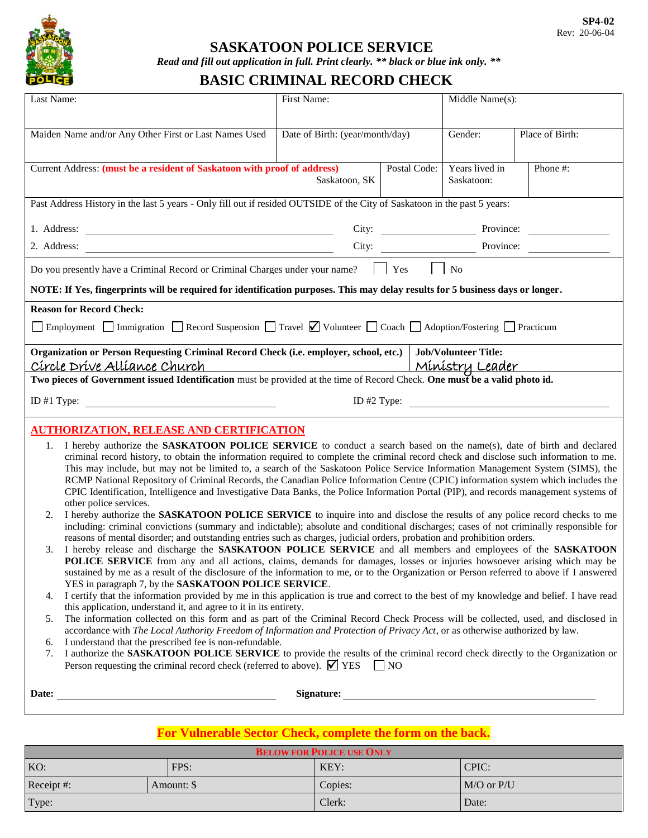

#### **SASKATOON POLICE SERVICE**

*Read and fill out application in full. Print clearly. \*\* black or blue ink only. \*\**

# **BASIC CRIMINAL RECORD CHECK**

| Last Name:                                                                                                                                                                                                                                                                                                                                                                                                                                                                                                                                                                                                                                                                                                                                                                                                                                                                                                                                                                                                                                                                                                                                                                                                                                                                                                                                                                                                                                                                                                                                                                                                                                                                                                                                                                                                                                                                                                                                                                                                                                                                                                                                                                                                                                                                                                                                                                                                                                                                  | First Name:                     |                              | Middle Name(s): |                 |  |  |
|-----------------------------------------------------------------------------------------------------------------------------------------------------------------------------------------------------------------------------------------------------------------------------------------------------------------------------------------------------------------------------------------------------------------------------------------------------------------------------------------------------------------------------------------------------------------------------------------------------------------------------------------------------------------------------------------------------------------------------------------------------------------------------------------------------------------------------------------------------------------------------------------------------------------------------------------------------------------------------------------------------------------------------------------------------------------------------------------------------------------------------------------------------------------------------------------------------------------------------------------------------------------------------------------------------------------------------------------------------------------------------------------------------------------------------------------------------------------------------------------------------------------------------------------------------------------------------------------------------------------------------------------------------------------------------------------------------------------------------------------------------------------------------------------------------------------------------------------------------------------------------------------------------------------------------------------------------------------------------------------------------------------------------------------------------------------------------------------------------------------------------------------------------------------------------------------------------------------------------------------------------------------------------------------------------------------------------------------------------------------------------------------------------------------------------------------------------------------------------|---------------------------------|------------------------------|-----------------|-----------------|--|--|
| Maiden Name and/or Any Other First or Last Names Used                                                                                                                                                                                                                                                                                                                                                                                                                                                                                                                                                                                                                                                                                                                                                                                                                                                                                                                                                                                                                                                                                                                                                                                                                                                                                                                                                                                                                                                                                                                                                                                                                                                                                                                                                                                                                                                                                                                                                                                                                                                                                                                                                                                                                                                                                                                                                                                                                       | Date of Birth: (year/month/day) |                              | Gender:         | Place of Birth: |  |  |
| Current Address: (must be a resident of Saskatoon with proof of address)<br>Postal Code:<br>Saskatoon, SK                                                                                                                                                                                                                                                                                                                                                                                                                                                                                                                                                                                                                                                                                                                                                                                                                                                                                                                                                                                                                                                                                                                                                                                                                                                                                                                                                                                                                                                                                                                                                                                                                                                                                                                                                                                                                                                                                                                                                                                                                                                                                                                                                                                                                                                                                                                                                                   |                                 | Years lived in<br>Saskatoon: | Phone #:        |                 |  |  |
| Past Address History in the last 5 years - Only fill out if resided OUTSIDE of the City of Saskatoon in the past 5 years:                                                                                                                                                                                                                                                                                                                                                                                                                                                                                                                                                                                                                                                                                                                                                                                                                                                                                                                                                                                                                                                                                                                                                                                                                                                                                                                                                                                                                                                                                                                                                                                                                                                                                                                                                                                                                                                                                                                                                                                                                                                                                                                                                                                                                                                                                                                                                   |                                 |                              |                 |                 |  |  |
| City:<br>1. Address:                                                                                                                                                                                                                                                                                                                                                                                                                                                                                                                                                                                                                                                                                                                                                                                                                                                                                                                                                                                                                                                                                                                                                                                                                                                                                                                                                                                                                                                                                                                                                                                                                                                                                                                                                                                                                                                                                                                                                                                                                                                                                                                                                                                                                                                                                                                                                                                                                                                        |                                 | Province:                    |                 |                 |  |  |
| 2. Address:                                                                                                                                                                                                                                                                                                                                                                                                                                                                                                                                                                                                                                                                                                                                                                                                                                                                                                                                                                                                                                                                                                                                                                                                                                                                                                                                                                                                                                                                                                                                                                                                                                                                                                                                                                                                                                                                                                                                                                                                                                                                                                                                                                                                                                                                                                                                                                                                                                                                 | City:                           |                              |                 | Province:       |  |  |
| Do you presently have a Criminal Record or Criminal Charges under your name?<br>Yes<br>No                                                                                                                                                                                                                                                                                                                                                                                                                                                                                                                                                                                                                                                                                                                                                                                                                                                                                                                                                                                                                                                                                                                                                                                                                                                                                                                                                                                                                                                                                                                                                                                                                                                                                                                                                                                                                                                                                                                                                                                                                                                                                                                                                                                                                                                                                                                                                                                   |                                 |                              |                 |                 |  |  |
| NOTE: If Yes, fingerprints will be required for identification purposes. This may delay results for 5 business days or longer.                                                                                                                                                                                                                                                                                                                                                                                                                                                                                                                                                                                                                                                                                                                                                                                                                                                                                                                                                                                                                                                                                                                                                                                                                                                                                                                                                                                                                                                                                                                                                                                                                                                                                                                                                                                                                                                                                                                                                                                                                                                                                                                                                                                                                                                                                                                                              |                                 |                              |                 |                 |  |  |
| <b>Reason for Record Check:</b><br>Employment Immigration Record Suspension Travel Volunteer Coach Adoption/Fostering Practicum                                                                                                                                                                                                                                                                                                                                                                                                                                                                                                                                                                                                                                                                                                                                                                                                                                                                                                                                                                                                                                                                                                                                                                                                                                                                                                                                                                                                                                                                                                                                                                                                                                                                                                                                                                                                                                                                                                                                                                                                                                                                                                                                                                                                                                                                                                                                             |                                 |                              |                 |                 |  |  |
| Organization or Person Requesting Criminal Record Check (i.e. employer, school, etc.)<br><b>Job/Volunteer Title:</b><br>Círcle Dríve Allíance Church<br><u>Mínístry Leader</u>                                                                                                                                                                                                                                                                                                                                                                                                                                                                                                                                                                                                                                                                                                                                                                                                                                                                                                                                                                                                                                                                                                                                                                                                                                                                                                                                                                                                                                                                                                                                                                                                                                                                                                                                                                                                                                                                                                                                                                                                                                                                                                                                                                                                                                                                                              |                                 |                              |                 |                 |  |  |
| Two pieces of Government issued Identification must be provided at the time of Record Check. One must be a valid photo id.                                                                                                                                                                                                                                                                                                                                                                                                                                                                                                                                                                                                                                                                                                                                                                                                                                                                                                                                                                                                                                                                                                                                                                                                                                                                                                                                                                                                                                                                                                                                                                                                                                                                                                                                                                                                                                                                                                                                                                                                                                                                                                                                                                                                                                                                                                                                                  |                                 |                              |                 |                 |  |  |
| ID #1 Type:<br>ID $#2$ Type:                                                                                                                                                                                                                                                                                                                                                                                                                                                                                                                                                                                                                                                                                                                                                                                                                                                                                                                                                                                                                                                                                                                                                                                                                                                                                                                                                                                                                                                                                                                                                                                                                                                                                                                                                                                                                                                                                                                                                                                                                                                                                                                                                                                                                                                                                                                                                                                                                                                |                                 |                              |                 |                 |  |  |
| <b>AUTHORIZATION, RELEASE AND CERTIFICATION</b><br>I hereby authorize the SASKATOON POLICE SERVICE to conduct a search based on the name(s), date of birth and declared<br>1.<br>criminal record history, to obtain the information required to complete the criminal record check and disclose such information to me.<br>This may include, but may not be limited to, a search of the Saskatoon Police Service Information Management System (SIMS), the<br>RCMP National Repository of Criminal Records, the Canadian Police Information Centre (CPIC) information system which includes the<br>CPIC Identification, Intelligence and Investigative Data Banks, the Police Information Portal (PIP), and records management systems of<br>other police services.<br>I hereby authorize the SASKATOON POLICE SERVICE to inquire into and disclose the results of any police record checks to me<br>2.<br>including: criminal convictions (summary and indictable); absolute and conditional discharges; cases of not criminally responsible for<br>reasons of mental disorder; and outstanding entries such as charges, judicial orders, probation and prohibition orders.<br>I hereby release and discharge the SASKATOON POLICE SERVICE and all members and employees of the SASKATOON<br>3.<br>POLICE SERVICE from any and all actions, claims, demands for damages, losses or injuries howsoever arising which may be<br>sustained by me as a result of the disclosure of the information to me, or to the Organization or Person referred to above if I answered<br>YES in paragraph 7, by the SASKATOON POLICE SERVICE.<br>I certify that the information provided by me in this application is true and correct to the best of my knowledge and belief. I have read<br>4.<br>this application, understand it, and agree to it in its entirety.<br>The information collected on this form and as part of the Criminal Record Check Process will be collected, used, and disclosed in<br>5.<br>accordance with The Local Authority Freedom of Information and Protection of Privacy Act, or as otherwise authorized by law.<br>I understand that the prescribed fee is non-refundable.<br>6.<br>I authorize the SASKATOON POLICE SERVICE to provide the results of the criminal record check directly to the Organization or<br>7.<br>Person requesting the criminal record check (referred to above). $\boxed{\bigtriangledown}$ YES<br>$\overline{\phantom{1}}$ NO |                                 |                              |                 |                 |  |  |
| Date:                                                                                                                                                                                                                                                                                                                                                                                                                                                                                                                                                                                                                                                                                                                                                                                                                                                                                                                                                                                                                                                                                                                                                                                                                                                                                                                                                                                                                                                                                                                                                                                                                                                                                                                                                                                                                                                                                                                                                                                                                                                                                                                                                                                                                                                                                                                                                                                                                                                                       | <b>Signature:</b>               |                              |                 |                 |  |  |

### **For Vulnerable Sector Check, complete the form on the back.**

| <b>BELOW FOR POLICE USE ONLY</b> |            |         |                |  |
|----------------------------------|------------|---------|----------------|--|
| KO:                              | FPS:       | KEY:    | CPIC:          |  |
| Receipt #:                       | Amount: \$ | Copies: | $M/O$ or $P/U$ |  |
| Type:                            |            | Clerk:  | Date:          |  |